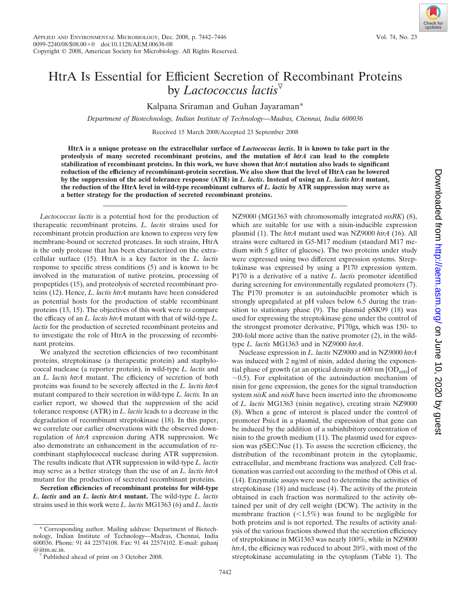## HtrA Is Essential for Efficient Secretion of Recombinant Proteins by *Lactococcus lactis*

Kalpana Sriraman and Guhan Jayaraman\*

*Department of Biotechnology, Indian Institute of Technology—Madras, Chennai, India 600036*

Received 15 March 2008/Accepted 23 September 2008

**HtrA is a unique protease on the extracellular surface of** *Lactococcus lactis***. It is known to take part in the proteolysis of many secreted recombinant proteins, and the mutation of** *htrA* **can lead to the complete stabilization of recombinant proteins. In this work, we have shown that** *htrA* **mutation also leads to significant reduction of the efficiency of recombinant-protein secretion. We also show that the level of HtrA can be lowered by the suppression of the acid tolerance response (ATR) in** *L. lactis***. Instead of using an** *L. lactis htrA* **mutant, the reduction of the HtrA level in wild-type recombinant cultures of** *L. lactis* **by ATR suppression may serve as a better strategy for the production of secreted recombinant proteins.**

*Lactococcus lactis* is a potential host for the production of therapeutic recombinant proteins. *L. lactis* strains used for recombinant protein production are known to express very few membrane-bound or secreted proteases. In such strains, HtrA is the only protease that has been characterized on the extracellular surface (15). HtrA is a key factor in the *L. lactis* response to specific stress conditions (5) and is known to be involved in the maturation of native proteins, processing of propeptides (15), and proteolysis of secreted recombinant proteins (12). Hence, *L. lactis htrA* mutants have been considered as potential hosts for the production of stable recombinant proteins (13, 15). The objectives of this work were to compare the efficacy of an *L. lactis htrA* mutant with that of wild-type *L. lactis* for the production of secreted recombinant proteins and to investigate the role of HtrA in the processing of recombinant proteins.

We analyzed the secretion efficiencies of two recombinant proteins, streptokinase (a therapeutic protein) and staphylococcal nuclease (a reporter protein), in wild-type *L. lactis* and an *L. lactis htrA* mutant. The efficiency of secretion of both proteins was found to be severely affected in the *L. lactis htrA* mutant compared to their secretion in wild-type *L. lactis.* In an earlier report, we showed that the suppression of the acid tolerance response (ATR) in *L. lactis* leads to a decrease in the degradation of recombinant streptokinase (18). In this paper, we correlate our earlier observations with the observed downregulation of *htrA* expression during ATR suppression. We also demonstrate an enhancement in the accumulation of recombinant staphylococcal nuclease during ATR suppression. The results indicate that ATR suppression in wild-type *L. lactis* may serve as a better strategy than the use of an *L. lactis htrA* mutant for the production of secreted recombinant proteins.

**Secretion efficiencies of recombinant proteins for wild-type** *L. lactis* **and an** *L. lactis htrA* **mutant.** The wild-type *L. lactis* strains used in this work were *L. lactis* MG1363 (6) and *L. lactis*

\* Corresponding author. Mailing address: Department of Biotechnology, Indian Institute of Technology—Madras, Chennai, India 600036. Phone: 91 44 22574108. Fax: 91 44 22574102. E-mail: guhanj NZ9000 (MG1363 with chromosomally integrated *nisRK*) (8), which are suitable for use with a nisin-inducible expression plasmid (1). The *htrA* mutant used was NZ9000 *htrA* (16). All strains were cultured in G5-M17 medium (standard M17 medium with 5 g/liter of glucose). The two proteins under study were expressed using two different expression systems. Streptokinase was expressed by using a P170 expression system. P170 is a derivative of a native *L. lactis* promoter identified during screening for environmentally regulated promoters (7). The P170 promoter is an autoinducible promoter which is strongly upregulated at pH values below 6.5 during the transition to stationary phase (9). The plasmid pSK99 (18) was used for expressing the streptokinase gene under the control of the strongest promoter derivative, P170gx, which was 150- to 200-fold more active than the native promoter (2), in the wildtype *L. lactis* MG1363 and in NZ9000 *htrA*.

Nuclease expression in *L. lactis* NZ9000 and in NZ9000 *htrA* was induced with 2 ng/ml of nisin, added during the exponential phase of growth (at an optical density at  $600 \text{ nm}$  [OD<sub>600</sub>] of  $\sim$ 0.5). For exploitation of the autoinduction mechanism of nisin for gene expression, the genes for the signal transduction system *nisK* and *nisR* have been inserted into the chromosome of *L. lactis* MG1363 (nisin negative), creating strain NZ9000 (8). When a gene of interest is placed under the control of promoter P*nisA* in a plasmid, the expression of that gene can be induced by the addition of a subinhibitory concentration of nisin to the growth medium (11). The plasmid used for expression was pSEC:Nuc (1). To assess the secretion efficiency, the distribution of the recombinant protein in the cytoplasmic, extracellular, and membrane fractions was analyzed. Cell fractionation was carried out according to the method of Obis et al. (14). Enzymatic assays were used to determine the activities of streptokinase (18) and nuclease (4). The activity of the protein obtained in each fraction was normalized to the activity obtained per unit of dry cell weight (DCW). The activity in the membrane fraction  $(\leq 1.5\%)$  was found to be negligible for both proteins and is not reported. The results of activity analysis of the various fractions showed that the secretion efficiency of streptokinase in MG1363 was nearly 100%, while in NZ9000 *htrA*, the efficiency was reduced to about 20%, with most of the streptokinase accumulating in the cytoplasm (Table 1). The

 $\sqrt[p]{}$  Published ahead of print on 3 October 2008.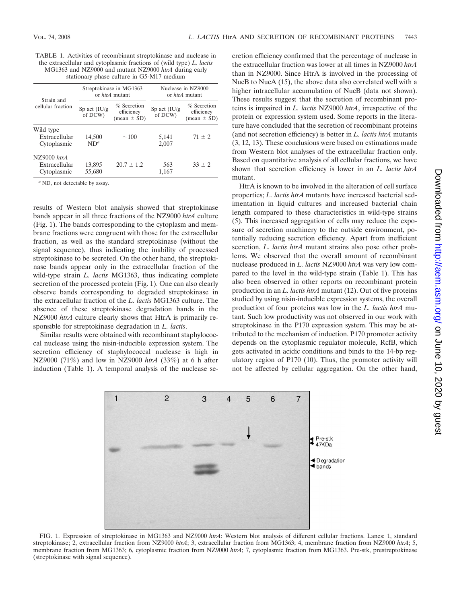TABLE 1. Activities of recombinant streptokinase and nuclease in the extracellular and cytoplasmic fractions of (wild type) *L. lactis* MG1363 and NZ9000 and mutant NZ9000 *htrA* during early stationary phase culture in G5-M17 medium

| Strain and<br>cellular fraction                  | Streptokinase in MG1363<br>or <i>htrA</i> mutant |                                              | Nuclease in NZ9000<br>or htrA mutant |                                                |
|--------------------------------------------------|--------------------------------------------------|----------------------------------------------|--------------------------------------|------------------------------------------------|
|                                                  | Sp act $(IU/g)$<br>of DCW)                       | $%$ Secretion<br>efficiency<br>$mean \pm SD$ | Sp act $(IU/g)$<br>of DCW)           | $%$ Secretion<br>efficiency<br>$(mean \pm SD)$ |
| Wild type<br>Extracellular<br>Cytoplasmic        | 14,500<br>$ND^a$                                 | ~100                                         | 5,141<br>2,007                       | $71 \pm 2$                                     |
| $NZ9000$ htr $A$<br>Extracellular<br>Cytoplasmic | 13,895<br>55,680                                 | $20.7 \pm 1.2$                               | 563<br>1,167                         | $33 \pm 2$                                     |

*<sup>a</sup>* ND, not detectable by assay.

results of Western blot analysis showed that streptokinase bands appear in all three fractions of the NZ9000 *htrA* culture (Fig. 1). The bands corresponding to the cytoplasm and membrane fractions were congruent with those for the extracellular fraction, as well as the standard streptokinase (without the signal sequence), thus indicating the inability of processed streptokinase to be secreted. On the other hand, the streptokinase bands appear only in the extracellular fraction of the wild-type strain *L. lactis* MG1363, thus indicating complete secretion of the processed protein (Fig. 1). One can also clearly observe bands corresponding to degraded streptokinase in the extracellular fraction of the *L. lactis* MG1363 culture. The absence of these streptokinase degradation bands in the NZ9000 *htrA* culture clearly shows that HtrA is primarily responsible for streptokinase degradation in *L. lactis*.

Similar results were obtained with recombinant staphylococcal nuclease using the nisin-inducible expression system. The secretion efficiency of staphylococcal nuclease is high in NZ9000 (71%) and low in NZ9000 *htrA* (33%) at 6 h after induction (Table 1). A temporal analysis of the nuclease secretion efficiency confirmed that the percentage of nuclease in the extracellular fraction was lower at all times in NZ9000 *htrA* than in NZ9000. Since HtrA is involved in the processing of NucB to NucA (15), the above data also correlated well with a higher intracellular accumulation of NucB (data not shown). These results suggest that the secretion of recombinant proteins is impaired in *L. lactis* NZ9000 *htrA*, irrespective of the protein or expression system used. Some reports in the literature have concluded that the secretion of recombinant proteins (and not secretion efficiency) is better in *L. lactis htrA* mutants (3, 12, 13). These conclusions were based on estimations made from Western blot analyses of the extracellular fraction only. Based on quantitative analysis of all cellular fractions, we have shown that secretion efficiency is lower in an *L. lactis htrA* mutant.

HtrA is known to be involved in the alteration of cell surface properties; *L. lactis htrA* mutants have increased bacterial sedimentation in liquid cultures and increased bacterial chain length compared to these characteristics in wild-type strains (5). This increased aggregation of cells may reduce the exposure of secretion machinery to the outside environment, potentially reducing secretion efficiency. Apart from inefficient secretion, *L. lactis htrA* mutant strains also pose other problems. We observed that the overall amount of recombinant nuclease produced in *L. lactis* NZ9000 *htrA* was very low compared to the level in the wild-type strain (Table 1). This has also been observed in other reports on recombinant protein production in an *L. lactis htrA* mutant (12). Out of five proteins studied by using nisin-inducible expression systems, the overall production of four proteins was low in the *L. lactis htrA* mutant. Such low productivity was not observed in our work with streptokinase in the P170 expression system. This may be attributed to the mechanism of induction. P170 promoter activity depends on the cytoplasmic regulator molecule, RcfB, which gets activated in acidic conditions and binds to the 14-bp regulatory region of P170 (10). Thus, the promoter activity will not be affected by cellular aggregation. On the other hand,



FIG. 1. Expression of streptokinase in MG1363 and NZ9000 *htrA*: Western blot analysis of different cellular fractions. Lanes: 1, standard streptokinase; 2, extracellular fraction from NZ9000 *htrA*; 3, extracellular fraction from MG1363; 4, membrane fraction from NZ9000 *htrA*; 5, membrane fraction from MG1363; 6, cytoplasmic fraction from NZ9000 *htrA*; 7, cytoplasmic fraction from MG1363. Pre-stk, prestreptokinase (streptokinase with signal sequence).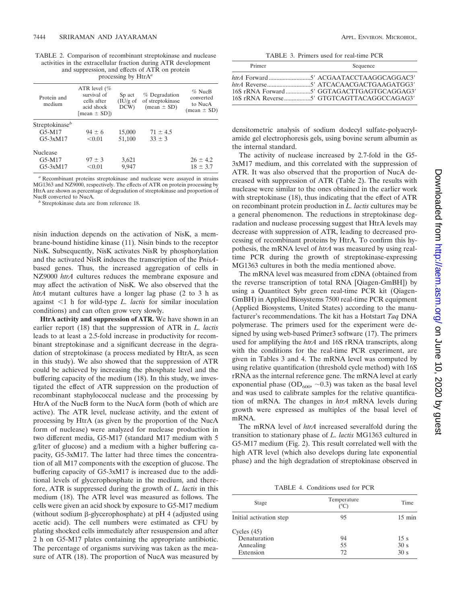TABLE 2. Comparison of recombinant streptokinase and nuclease activities in the extracellular fraction during ATR development and suppression, and effects of ATR on protein processing by HtrA*<sup>a</sup>*

| Protein and<br>medium      | ATR level $(\%$<br>survival of<br>cells after<br>acid shock<br>[mean $\pm$ SD]) | S <sub>p</sub> act<br>$(IU/g \text{ of }$<br>DCW | $%$ Degradation<br>of streptokinase<br>$(mean \pm SD)$ | $%$ NucB<br>converted<br>to NucA<br>$mean \pm SD$ |
|----------------------------|---------------------------------------------------------------------------------|--------------------------------------------------|--------------------------------------------------------|---------------------------------------------------|
| Streptokinase <sup>b</sup> |                                                                                 |                                                  |                                                        |                                                   |
| $G5-M17$                   | $94 \pm 6$                                                                      | 15,000                                           | $71 \pm 4.5$                                           |                                                   |
| $G5-3xM17$                 | < 0.01                                                                          | 51,100                                           | $33 \pm 3$                                             |                                                   |
| <b>Nuclease</b>            |                                                                                 |                                                  |                                                        |                                                   |
| G5-M17                     | $97 \pm 3$                                                                      | 3,621                                            |                                                        | $26 \pm 4.2$                                      |
| $G5-3xM17$                 | < 0.01                                                                          | 9.947                                            |                                                        | $18 \pm 3.7$                                      |

*<sup>a</sup>* Recombinant proteins streptokinase and nuclease were assayed in strains MG1363 and NZ9000, respectively. The effects of ATR on protein processing by HtrA are shown as percentage of degradation of streptokinase and proportion of

<sup>*b*</sup> Streptokinase data are from reference 18.

nisin induction depends on the activation of NisK, a membrane-bound histidine kinase (11). Nisin binds to the receptor NisK. Subsequently, NisK activates NisR by phosphorylation and the activated NisR induces the transcription of the P*nisA*based genes. Thus, the increased aggregation of cells in NZ9000 *htrA* cultures reduces the membrane exposure and may affect the activation of NisK. We also observed that the *htrA* mutant cultures have a longer lag phase (2 to 3 h as against <1 h for wild-type *L. lactis* for similar inoculation conditions) and can often grow very slowly.

**HtrA activity and suppression of ATR.** We have shown in an earlier report (18) that the suppression of ATR in *L. lactis* leads to at least a 2.5-fold increase in productivity for recombinant streptokinase and a significant decrease in the degradation of streptokinase (a process mediated by HtrA, as seen in this study). We also showed that the suppression of ATR could be achieved by increasing the phosphate level and the buffering capacity of the medium (18). In this study, we investigated the effect of ATR suppression on the production of recombinant staphylococcal nuclease and the processing by HtrA of the NucB form to the NucA form (both of which are active). The ATR level, nuclease activity, and the extent of processing by HtrA (as given by the proportion of the NucA form of nuclease) were analyzed for nuclease production in two different media, G5-M17 (standard M17 medium with 5 g/liter of glucose) and a medium with a higher buffering capacity, G5-3xM17. The latter had three times the concentration of all M17 components with the exception of glucose. The buffering capacity of G5-3xM17 is increased due to the additional levels of glycerophosphate in the medium, and therefore, ATR is suppressed during the growth of *L. lactis* in this medium (18). The ATR level was measured as follows. The cells were given an acid shock by exposure to G5-M17 medium (without sodium  $\beta$ -glycerophosphate) at pH 4 (adjusted using acetic acid). The cell numbers were estimated as CFU by plating shocked cells immediately after resuspension and after 2 h on G5-M17 plates containing the appropriate antibiotic. The percentage of organisms surviving was taken as the measure of ATR (18). The proportion of NucA was measured by

TABLE 3. Primers used for real-time PCR

| Primer | Sequence                                   |
|--------|--------------------------------------------|
|        | 16S rRNA Forward 5' GGTAGACTTGAGTGCAGGAG3' |
|        |                                            |

densitometric analysis of sodium dodecyl sulfate-polyacrylamide gel electrophoresis gels, using bovine serum albumin as the internal standard.

The activity of nuclease increased by 2.7-fold in the G5- 3xM17 medium, and this correlated with the suppression of ATR. It was also observed that the proportion of NucA decreased with suppression of ATR (Table 2). The results with nuclease were similar to the ones obtained in the earlier work with streptokinase (18), thus indicating that the effect of ATR on recombinant protein production in *L. lactis* cultures may be a general phenomenon. The reductions in streptokinase degradation and nuclease processing suggest that HtrA levels may decrease with suppression of ATR, leading to decreased processing of recombinant proteins by HtrA. To confirm this hypothesis, the mRNA level of *htrA* was measured by using realtime PCR during the growth of streptokinase-expressing MG1363 cultures in both the media mentioned above.

The mRNA level was measured from cDNA (obtained from the reverse transcription of total RNA [Qiagen-GmBH]) by using a Quantitect Sybr green real-time PCR kit (Qiagen-GmBH) in Applied Biosystems 7500 real-time PCR equipment (Applied Biosystems, United States) according to the manufacturer's recommendations. The kit has a Hotstart *Taq* DNA polymerase. The primers used for the experiment were designed by using web-based Primer3 software (17). The primers used for amplifying the *htrA* and 16S rRNA transcripts, along with the conditions for the real-time PCR experiment, are given in Tables 3 and 4. The mRNA level was computed by using relative quantification (threshold cycle method) with 16S rRNA as the internal reference gene. The mRNA level at early exponential phase  $(OD_{600}, -0.3)$  was taken as the basal level and was used to calibrate samples for the relative quantification of mRNA. The changes in *htrA* mRNA levels during growth were expressed as multiples of the basal level of mRNA.

The mRNA level of *htrA* increased severalfold during the transition to stationary phase of *L. lactis* MG1363 cultured in G5-M17 medium (Fig. 2). This result correlated well with the high ATR level (which also develops during late exponential phase) and the high degradation of streptokinase observed in

TABLE 4. Conditions used for PCR

| Stage                         | Temperature<br>(°C) | Time                    |
|-------------------------------|---------------------|-------------------------|
| Initial activation step       | 95                  | $15 \text{ min}$        |
| Cycles $(45)$<br>Denaturation | 94                  | 15 s                    |
| Annealing<br>Extension        | 55<br>72            | 30 <sub>s</sub><br>30 s |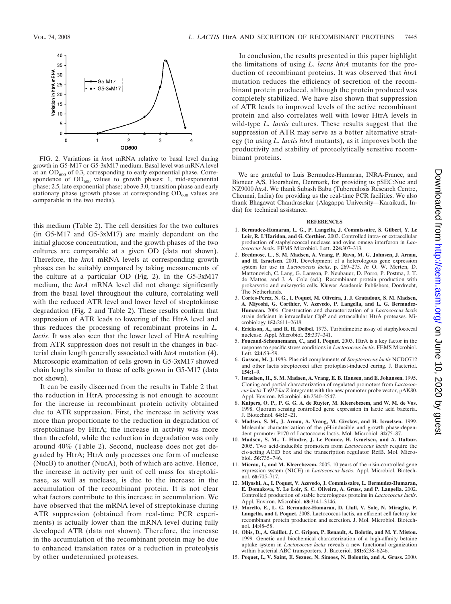

FIG. 2. Variations in *htrA* mRNA relative to basal level during growth in G5-M17 or G5-3xM17 medium. Basal level was mRNA level at an  $OD_{600}$  of 0.3, corresponding to early exponential phase. Correspondence of  $OD_{600}$  values to growth phases: 1, mid-exponential phase; 2.5, late exponential phase; above 3.0, transition phase and early stationary phase (growth phases at corresponding  $OD_{600}$  values are comparable in the two media).

this medium (Table 2). The cell densities for the two cultures (in G5-M17 and G5-3xM17) are mainly dependent on the initial glucose concentration, and the growth phases of the two cultures are comparable at a given OD (data not shown). Therefore, the *htrA* mRNA levels at corresponding growth phases can be suitably compared by taking measurements of the culture at a particular OD (Fig. 2). In the G5-3xM17 medium, the *htrA* mRNA level did not change significantly from the basal level throughout the culture, correlating well with the reduced ATR level and lower level of streptokinase degradation (Fig. 2 and Table 2). These results confirm that suppression of ATR leads to lowering of the HtrA level and thus reduces the processing of recombinant proteins in *L. lactis*. It was also seen that the lower level of HtrA resulting from ATR suppression does not result in the changes in bacterial chain length generally associated with *htrA* mutation (4). Microscopic examination of cells grown in G5-3xM17 showed chain lengths similar to those of cells grown in G5-M17 (data not shown).

It can be easily discerned from the results in Table 2 that the reduction in HtrA processing is not enough to account for the increase in recombinant protein activity obtained due to ATR suppression. First, the increase in activity was more than proportionate to the reduction in degradation of streptokinase by HtrA; the increase in activity was more than threefold, while the reduction in degradation was only around 40% (Table 2). Second, nuclease does not get degraded by HtrA; HtrA only processes one form of nuclease (NucB) to another (NucA), both of which are active. Hence, the increase in activity per unit of cell mass for streptokinase, as well as nuclease, is due to the increase in the accumulation of the recombinant protein. It is not clear what factors contribute to this increase in accumulation. We have observed that the mRNA level of streptokinase during ATR suppression (obtained from real-time PCR experiments) is actually lower than the mRNA level during fully developed ATR (data not shown). Therefore, the increase in the accumulation of the recombinant protein may be due to enhanced translation rates or a reduction in proteolysis by other undetermined proteases.

In conclusion, the results presented in this paper highlight the limitations of using *L. lactis htrA* mutants for the production of recombinant proteins. It was observed that *htrA* mutation reduces the efficiency of secretion of the recombinant protein produced, although the protein produced was completely stabilized. We have also shown that suppression of ATR leads to improved levels of the active recombinant protein and also correlates well with lower HtrA levels in wild-type *L. lactis* cultures. These results suggest that the suppression of ATR may serve as a better alternative strategy (to using *L. lactis htrA* mutants), as it improves both the productivity and stability of proteolytically sensitive recombinant proteins.

We are grateful to Luis Bermudez-Humaran, INRA-France, and Bioneer A/S, Hoersholm, Denmark, for providing us pSEC:Nuc and NZ9000 *htrA*. We thank Subash Babu (Tuberculosis Research Centre, Chennai, India) for providing us the real-time PCR facilities. We also thank Bhagawat Chandrasekar (Alagappa University—Karaikudi, India) for technical assistance.

## **REFERENCES**

- 1. **Bermudez-Humaran, L. G., P. Langella, J. Commissaire, S. Gilbert, Y. Le Loir, R. L'Haridon, and G. Corthier.** 2003. Controlled intra- or extracellular production of staphylococcal nuclease and ovine omega interferon in *Lactococcus lactis*. FEMS Microbiol. Lett. **224:**307–313.
- 2. **Bredmose, L., S. M. Madsen, A. Vrang, P. Ravn, M. G. Johnsen, J. Arnau, and H. Israelsen.** 2001. Development of a heterologous gene expression system for use in *Lactococcus lactis*, p. 269–275. *In* O. W. Merten, D. Mattonovich, C. Lang, G. Larsson, P. Neubauer, D. Porro, P. Postma, J. T. de Mattos, and J. A. Cole (ed.), Recombinant protein production with prokaryotic and eukaryotic cells. Kluwer Academic Publishers, Dordrecht, The Netherlands.
- 3. **Cortes-Perez, N. G., I. Poquet, M. Oliveira, J. J. Gratadoux, S. M. Madsen, A. Miyoshi, G. Corthier, V. Azevedo, P. Langella, and L. G. Bermudez-Humaran.** 2006. Construction and characterization of a *Lactococcus lactis* strain deficient in intracellular ClpP and extracellular HtrA proteases. Microbiology **152:**2611–2618.
- 4. **Erickson, A., and R. H. Deibel.** 1973. Turbidimetric assay of staphylococcal nuclease. Appl. Microbiol. **25:**337–341.
- 5. **Foucaud-Scheunemann, C., and I. Poquet.** 2003. HtrA is a key factor in the response to specific stress conditions in *Lactococcus lactis*. FEMS Microbiol. Lett. **224:**53–59.
- 6. **Gasson, M. J.** 1983. Plasmid complements of *Streptococcus lactis* NCDO712 and other lactis streptococci after protoplast-induced curing. J. Bacteriol. **154:**1–9.
- 7. **Israelsen, H., S. M. Madsen, A. Vrang, E. B. Hansen, and E. Johansen.** 1995. Cloning and partial characterization of regulated promoters from *Lactococcus lactis* Tn*917-lacZ* integrants with the new promoter probe vector, pAK80. Appl. Environ. Microbiol. **61:**2540–2547.
- 8. **Kuipers, O. P., P. G. G. A. de Ruyter, M. Kleerebezem, and W. M. de Vos.** 1998. Quorum sensing controlled gene expression in lactic acid bacteria. J. Biotechnol. **64:**15–21.
- 9. **Madsen, S. M., J. Arnau, A. Vrang, M. Givskov, and H. Israelsen.** 1999. Molecular characterization of the pH-inducible and growth phase-dependent promoter P170 of Lactococcus lactis. Mol. Microbiol. **32:**75–87.
- 10. **Madsen, S. M., T. Hindre, J. Le Pennec, H. Israelsen, and A. Dufour.** 2005. Two acid-inducible promoters from *Lactococcus lactis* require the cis-acting ACiD box and the transcription regulator RcfB. Mol. Microbiol. **56:**735–746.
- 11. **Mierau, I., and M. Kleerebezem.** 2005. 10 years of the nisin-controlled gene expression system (NICE) in *Lactococcus lactis*. Appl. Microbiol. Biotechnol. **68:**705–717.
- 12. **Miyoshi, A., I. Poquet, V. Azevedo, J. Commissaire, L. Bermudez-Humaran, E. Domakova, Y. Le Loir, S. C. Oliveira, A. Gruss, and P. Langella.** 2002. Controlled production of stable heterologous proteins in *Lactococcus lactis*. Appl. Environ. Microbiol. **68:**3141–3146.
- 13. **Morello, E., L. G. Bermudez-Humaran, D. Llull, V. Sole, N. Miraglio, P. Langella, and I. Poquet.** 2008. Lactococcus lactis, an efficient cell factory for recombinant protein production and secretion. J. Mol. Microbiol. Biotechnol. **14:**48–58.
- 14. **Obis, D., A. Guillot, J. C. Gripon, P. Renault, A. Bolotin, and M. Y. Mistou.** 1999. Genetic and biochemical characterization of a high-affinity betaine uptake system in *Lactococcus lactis* reveals a new functional organization within bacterial ABC transporters. J. Bacteriol. **181:**6238–6246.
- 15. **Poquet, I., V. Saint, E. Seznec, N. Simoes, N. Bolontin, and A. Gruss.** 2000.